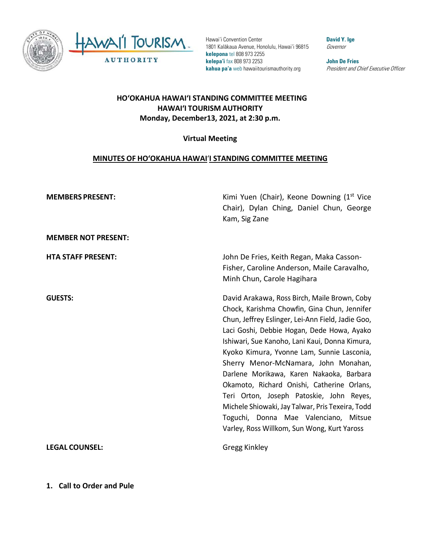

Hawai'i Convention Center 1801 Kalākaua Avenue, Honolulu, Hawai'i 96815 **kelepona** tel 808 973 2255 **kelepa'i** fax 808 973 2253 **kahua pa'a** web hawaiitourismauthority.org

**David Y. Ige** Governor

**John De Fries** President and Chief Executive Officer

## **HO'OKAHUA HAWAI'I STANDING COMMITTEE MEETING HAWAI'I TOURISM AUTHORITY Monday, December13, 2021, at 2:30 p.m.**

### **Virtual Meeting**

### **MINUTES OF HO'OKAHUA HAWAI**'**I STANDING COMMITTEE MEETING**

| <b>MEMBERS PRESENT:</b>    | Kimi Yuen (Chair), Keone Downing (1 <sup>st</sup> Vice<br>Chair), Dylan Ching, Daniel Chun, George<br>Kam, Sig Zane                                                                                                                                                                                                                                                                                                                                                                                                                                                                                                       |
|----------------------------|---------------------------------------------------------------------------------------------------------------------------------------------------------------------------------------------------------------------------------------------------------------------------------------------------------------------------------------------------------------------------------------------------------------------------------------------------------------------------------------------------------------------------------------------------------------------------------------------------------------------------|
| <b>MEMBER NOT PRESENT:</b> |                                                                                                                                                                                                                                                                                                                                                                                                                                                                                                                                                                                                                           |
| <b>HTA STAFF PRESENT:</b>  | John De Fries, Keith Regan, Maka Casson-<br>Fisher, Caroline Anderson, Maile Caravalho,<br>Minh Chun, Carole Hagihara                                                                                                                                                                                                                                                                                                                                                                                                                                                                                                     |
| <b>GUESTS:</b>             | David Arakawa, Ross Birch, Maile Brown, Coby<br>Chock, Karishma Chowfin, Gina Chun, Jennifer<br>Chun, Jeffrey Eslinger, Lei-Ann Field, Jadie Goo,<br>Laci Goshi, Debbie Hogan, Dede Howa, Ayako<br>Ishiwari, Sue Kanoho, Lani Kaui, Donna Kimura,<br>Kyoko Kimura, Yvonne Lam, Sunnie Lasconia,<br>Sherry Menor-McNamara, John Monahan,<br>Darlene Morikawa, Karen Nakaoka, Barbara<br>Okamoto, Richard Onishi, Catherine Orlans,<br>Teri Orton, Joseph Patoskie, John Reyes,<br>Michele Shiowaki, Jay Talwar, Pris Texeira, Todd<br>Toguchi, Donna Mae Valenciano, Mitsue<br>Varley, Ross Willkom, Sun Wong, Kurt Yaross |
| <b>LEGAL COUNSEL:</b>      | <b>Gregg Kinkley</b>                                                                                                                                                                                                                                                                                                                                                                                                                                                                                                                                                                                                      |

**1. Call to Order and Pule**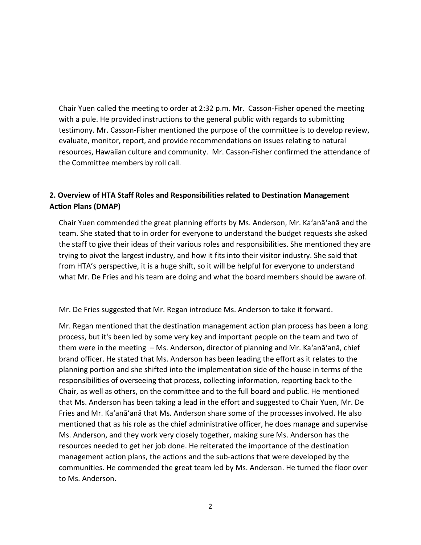Chair Yuen called the meeting to order at 2:32 p.m. Mr. Casson-Fisher opened the meeting with a pule. He provided instructions to the general public with regards to submitting testimony. Mr. Casson-Fisher mentioned the purpose of the committee is to develop review, evaluate, monitor, report, and provide recommendations on issues relating to natural resources, Hawaiian culture and community. Mr. Casson-Fisher confirmed the attendance of the Committee members by roll call.

## **2. Overview of HTA Staff Roles and Responsibilities related to Destination Management Action Plans (DMAP)**

Chair Yuen commended the great planning efforts by Ms. Anderson, Mr. Ka'anā'anā and the team. She stated that to in order for everyone to understand the budget requests she asked the staff to give their ideas of their various roles and responsibilities. She mentioned they are trying to pivot the largest industry, and how it fits into their visitor industry. She said that from HTA's perspective, it is a huge shift, so it will be helpful for everyone to understand what Mr. De Fries and his team are doing and what the board members should be aware of.

#### Mr. De Fries suggested that Mr. Regan introduce Ms. Anderson to take it forward.

Mr. Regan mentioned that the destination management action plan process has been a long process, but it's been led by some very key and important people on the team and two of them were in the meeting – Ms. Anderson, director of planning and Mr. Ka'anā'anā, chief brand officer. He stated that Ms. Anderson has been leading the effort as it relates to the planning portion and she shifted into the implementation side of the house in terms of the responsibilities of overseeing that process, collecting information, reporting back to the Chair, as well as others, on the committee and to the full board and public. He mentioned that Ms. Anderson has been taking a lead in the effort and suggested to Chair Yuen, Mr. De Fries and Mr. Ka'anā'anā that Ms. Anderson share some of the processes involved. He also mentioned that as his role as the chief administrative officer, he does manage and supervise Ms. Anderson, and they work very closely together, making sure Ms. Anderson has the resources needed to get her job done. He reiterated the importance of the destination management action plans, the actions and the sub-actions that were developed by the communities. He commended the great team led by Ms. Anderson. He turned the floor over to Ms. Anderson.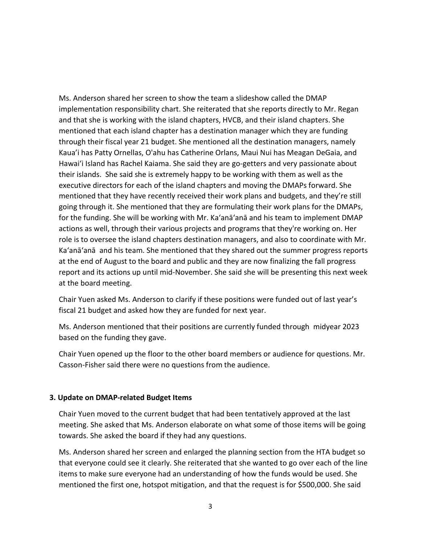Ms. Anderson shared her screen to show the team a slideshow called the DMAP implementation responsibility chart. She reiterated that she reports directly to Mr. Regan and that she is working with the island chapters, HVCB, and their island chapters. She mentioned that each island chapter has a destination manager which they are funding through their fiscal year 21 budget. She mentioned all the destination managers, namely Kaua'i has Patty Ornellas, O'ahu has Catherine Orlans, Maui Nui has Meagan DeGaia, and Hawai'i Island has Rachel Kaiama. She said they are go-getters and very passionate about their islands. She said she is extremely happy to be working with them as well as the executive directors for each of the island chapters and moving the DMAPs forward. She mentioned that they have recently received their work plans and budgets, and they're still going through it. She mentioned that they are formulating their work plans for the DMAPs, for the funding. She will be working with Mr. Ka'anā'anā and his team to implement DMAP actions as well, through their various projects and programs that they're working on. Her role is to oversee the island chapters destination managers, and also to coordinate with Mr. Ka'anā'anā and his team. She mentioned that they shared out the summer progress reports at the end of August to the board and public and they are now finalizing the fall progress report and its actions up until mid-November. She said she will be presenting this next week at the board meeting.

Chair Yuen asked Ms. Anderson to clarify if these positions were funded out of last year's fiscal 21 budget and asked how they are funded for next year.

Ms. Anderson mentioned that their positions are currently funded through midyear 2023 based on the funding they gave.

Chair Yuen opened up the floor to the other board members or audience for questions. Mr. Casson-Fisher said there were no questions from the audience.

#### **3. Update on DMAP-related Budget Items**

Chair Yuen moved to the current budget that had been tentatively approved at the last meeting. She asked that Ms. Anderson elaborate on what some of those items will be going towards. She asked the board if they had any questions.

Ms. Anderson shared her screen and enlarged the planning section from the HTA budget so that everyone could see it clearly. She reiterated that she wanted to go over each of the line items to make sure everyone had an understanding of how the funds would be used. She mentioned the first one, hotspot mitigation, and that the request is for \$500,000. She said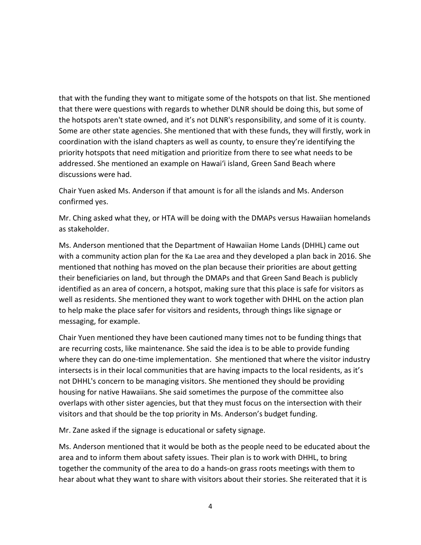that with the funding they want to mitigate some of the hotspots on that list. She mentioned that there were questions with regards to whether DLNR should be doing this, but some of the hotspots aren't state owned, and it's not DLNR's responsibility, and some of it is county. Some are other state agencies. She mentioned that with these funds, they will firstly, work in coordination with the island chapters as well as county, to ensure they're identifying the priority hotspots that need mitigation and prioritize from there to see what needs to be addressed. She mentioned an example on Hawai'i island, Green Sand Beach where discussions were had.

Chair Yuen asked Ms. Anderson if that amount is for all the islands and Ms. Anderson confirmed yes.

Mr. Ching asked what they, or HTA will be doing with the DMAPs versus Hawaiian homelands as stakeholder.

Ms. Anderson mentioned that the Department of Hawaiian Home Lands (DHHL) came out with a community action plan for the Ka Lae area and they developed a plan back in 2016. She mentioned that nothing has moved on the plan because their priorities are about getting their beneficiaries on land, but through the DMAPs and that Green Sand Beach is publicly identified as an area of concern, a hotspot, making sure that this place is safe for visitors as well as residents. She mentioned they want to work together with DHHL on the action plan to help make the place safer for visitors and residents, through things like signage or messaging, for example.

Chair Yuen mentioned they have been cautioned many times not to be funding things that are recurring costs, like maintenance. She said the idea is to be able to provide funding where they can do one-time implementation. She mentioned that where the visitor industry intersects is in their local communities that are having impacts to the local residents, as it's not DHHL's concern to be managing visitors. She mentioned they should be providing housing for native Hawaiians. She said sometimes the purpose of the committee also overlaps with other sister agencies, but that they must focus on the intersection with their visitors and that should be the top priority in Ms. Anderson's budget funding.

Mr. Zane asked if the signage is educational or safety signage.

Ms. Anderson mentioned that it would be both as the people need to be educated about the area and to inform them about safety issues. Their plan is to work with DHHL, to bring together the community of the area to do a hands-on grass roots meetings with them to hear about what they want to share with visitors about their stories. She reiterated that it is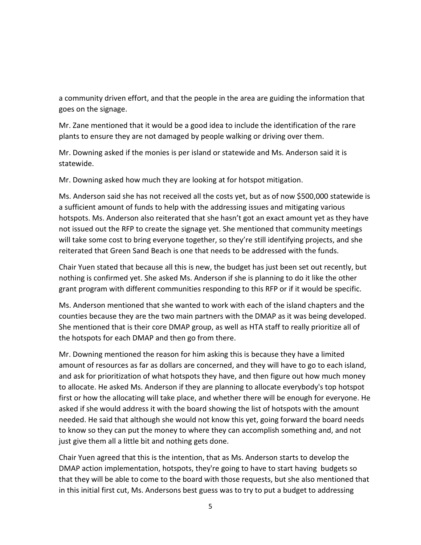a community driven effort, and that the people in the area are guiding the information that goes on the signage.

Mr. Zane mentioned that it would be a good idea to include the identification of the rare plants to ensure they are not damaged by people walking or driving over them.

Mr. Downing asked if the monies is per island or statewide and Ms. Anderson said it is statewide.

Mr. Downing asked how much they are looking at for hotspot mitigation.

Ms. Anderson said she has not received all the costs yet, but as of now \$500,000 statewide is a sufficient amount of funds to help with the addressing issues and mitigating various hotspots. Ms. Anderson also reiterated that she hasn't got an exact amount yet as they have not issued out the RFP to create the signage yet. She mentioned that community meetings will take some cost to bring everyone together, so they're still identifying projects, and she reiterated that Green Sand Beach is one that needs to be addressed with the funds.

Chair Yuen stated that because all this is new, the budget has just been set out recently, but nothing is confirmed yet. She asked Ms. Anderson if she is planning to do it like the other grant program with different communities responding to this RFP or if it would be specific.

Ms. Anderson mentioned that she wanted to work with each of the island chapters and the counties because they are the two main partners with the DMAP as it was being developed. She mentioned that is their core DMAP group, as well as HTA staff to really prioritize all of the hotspots for each DMAP and then go from there.

Mr. Downing mentioned the reason for him asking this is because they have a limited amount of resources as far as dollars are concerned, and they will have to go to each island, and ask for prioritization of what hotspots they have, and then figure out how much money to allocate. He asked Ms. Anderson if they are planning to allocate everybody's top hotspot first or how the allocating will take place, and whether there will be enough for everyone. He asked if she would address it with the board showing the list of hotspots with the amount needed. He said that although she would not know this yet, going forward the board needs to know so they can put the money to where they can accomplish something and, and not just give them all a little bit and nothing gets done.

Chair Yuen agreed that this is the intention, that as Ms. Anderson starts to develop the DMAP action implementation, hotspots, they're going to have to start having budgets so that they will be able to come to the board with those requests, but she also mentioned that in this initial first cut, Ms. Andersons best guess was to try to put a budget to addressing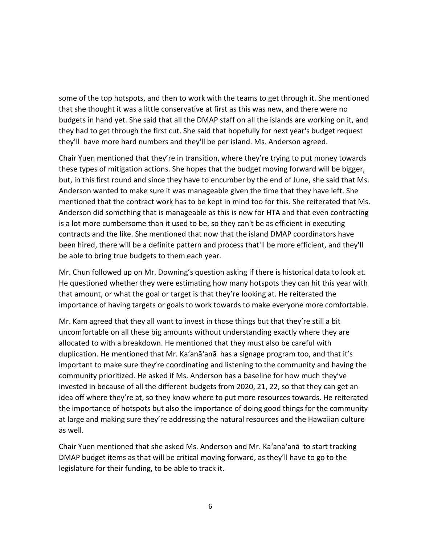some of the top hotspots, and then to work with the teams to get through it. She mentioned that she thought it was a little conservative at first as this was new, and there were no budgets in hand yet. She said that all the DMAP staff on all the islands are working on it, and they had to get through the first cut. She said that hopefully for next year's budget request they'll have more hard numbers and they'll be per island. Ms. Anderson agreed.

Chair Yuen mentioned that they're in transition, where they're trying to put money towards these types of mitigation actions. She hopes that the budget moving forward will be bigger, but, in this first round and since they have to encumber by the end of June, she said that Ms. Anderson wanted to make sure it was manageable given the time that they have left. She mentioned that the contract work has to be kept in mind too for this. She reiterated that Ms. Anderson did something that is manageable as this is new for HTA and that even contracting is a lot more cumbersome than it used to be, so they can't be as efficient in executing contracts and the like. She mentioned that now that the island DMAP coordinators have been hired, there will be a definite pattern and process that'll be more efficient, and they'll be able to bring true budgets to them each year.

Mr. Chun followed up on Mr. Downing's question asking if there is historical data to look at. He questioned whether they were estimating how many hotspots they can hit this year with that amount, or what the goal or target is that they're looking at. He reiterated the importance of having targets or goals to work towards to make everyone more comfortable.

Mr. Kam agreed that they all want to invest in those things but that they're still a bit uncomfortable on all these big amounts without understanding exactly where they are allocated to with a breakdown. He mentioned that they must also be careful with duplication. He mentioned that Mr. Ka'anā'anā has a signage program too, and that it's important to make sure they're coordinating and listening to the community and having the community prioritized. He asked if Ms. Anderson has a baseline for how much they've invested in because of all the different budgets from 2020, 21, 22, so that they can get an idea off where they're at, so they know where to put more resources towards. He reiterated the importance of hotspots but also the importance of doing good things for the community at large and making sure they're addressing the natural resources and the Hawaiian culture as well.

Chair Yuen mentioned that she asked Ms. Anderson and Mr. Ka'anā'anā to start tracking DMAP budget items as that will be critical moving forward, as they'll have to go to the legislature for their funding, to be able to track it.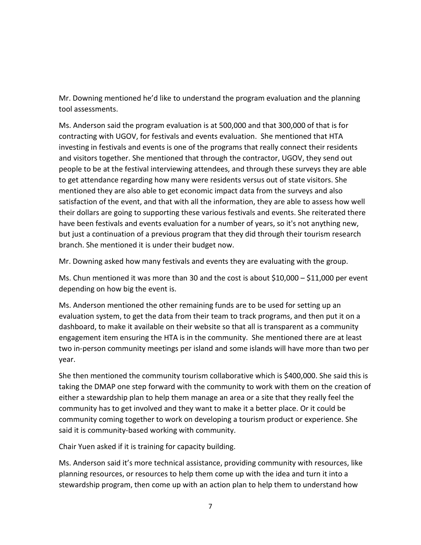Mr. Downing mentioned he'd like to understand the program evaluation and the planning tool assessments.

Ms. Anderson said the program evaluation is at 500,000 and that 300,000 of that is for contracting with UGOV, for festivals and events evaluation. She mentioned that HTA investing in festivals and events is one of the programs that really connect their residents and visitors together. She mentioned that through the contractor, UGOV, they send out people to be at the festival interviewing attendees, and through these surveys they are able to get attendance regarding how many were residents versus out of state visitors. She mentioned they are also able to get economic impact data from the surveys and also satisfaction of the event, and that with all the information, they are able to assess how well their dollars are going to supporting these various festivals and events. She reiterated there have been festivals and events evaluation for a number of years, so it's not anything new, but just a continuation of a previous program that they did through their tourism research branch. She mentioned it is under their budget now.

Mr. Downing asked how many festivals and events they are evaluating with the group.

Ms. Chun mentioned it was more than 30 and the cost is about  $$10,000 - $11,000$  per event depending on how big the event is.

Ms. Anderson mentioned the other remaining funds are to be used for setting up an evaluation system, to get the data from their team to track programs, and then put it on a dashboard, to make it available on their website so that all is transparent as a community engagement item ensuring the HTA is in the community. She mentioned there are at least two in-person community meetings per island and some islands will have more than two per year.

She then mentioned the community tourism collaborative which is \$400,000. She said this is taking the DMAP one step forward with the community to work with them on the creation of either a stewardship plan to help them manage an area or a site that they really feel the community has to get involved and they want to make it a better place. Or it could be community coming together to work on developing a tourism product or experience. She said it is community-based working with community.

Chair Yuen asked if it is training for capacity building.

Ms. Anderson said it's more technical assistance, providing community with resources, like planning resources, or resources to help them come up with the idea and turn it into a stewardship program, then come up with an action plan to help them to understand how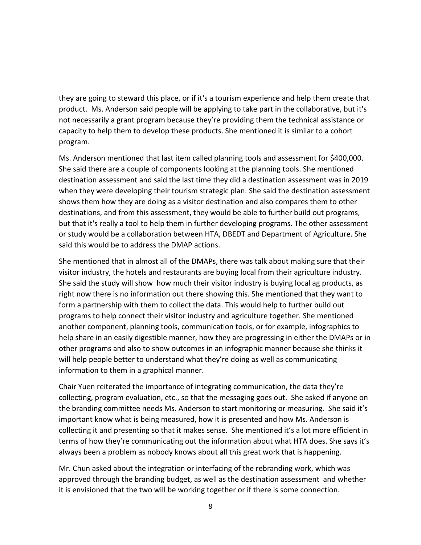they are going to steward this place, or if it's a tourism experience and help them create that product. Ms. Anderson said people will be applying to take part in the collaborative, but it's not necessarily a grant program because they're providing them the technical assistance or capacity to help them to develop these products. She mentioned it is similar to a cohort program.

Ms. Anderson mentioned that last item called planning tools and assessment for \$400,000. She said there are a couple of components looking at the planning tools. She mentioned destination assessment and said the last time they did a destination assessment was in 2019 when they were developing their tourism strategic plan. She said the destination assessment shows them how they are doing as a visitor destination and also compares them to other destinations, and from this assessment, they would be able to further build out programs, but that it's really a tool to help them in further developing programs. The other assessment or study would be a collaboration between HTA, DBEDT and Department of Agriculture. She said this would be to address the DMAP actions.

She mentioned that in almost all of the DMAPs, there was talk about making sure that their visitor industry, the hotels and restaurants are buying local from their agriculture industry. She said the study will show how much their visitor industry is buying local ag products, as right now there is no information out there showing this. She mentioned that they want to form a partnership with them to collect the data. This would help to further build out programs to help connect their visitor industry and agriculture together. She mentioned another component, planning tools, communication tools, or for example, infographics to help share in an easily digestible manner, how they are progressing in either the DMAPs or in other programs and also to show outcomes in an infographic manner because she thinks it will help people better to understand what they're doing as well as communicating information to them in a graphical manner.

Chair Yuen reiterated the importance of integrating communication, the data they're collecting, program evaluation, etc., so that the messaging goes out. She asked if anyone on the branding committee needs Ms. Anderson to start monitoring or measuring. She said it's important know what is being measured, how it is presented and how Ms. Anderson is collecting it and presenting so that it makes sense. She mentioned it's a lot more efficient in terms of how they're communicating out the information about what HTA does. She says it's always been a problem as nobody knows about all this great work that is happening.

Mr. Chun asked about the integration or interfacing of the rebranding work, which was approved through the branding budget, as well as the destination assessment and whether it is envisioned that the two will be working together or if there is some connection.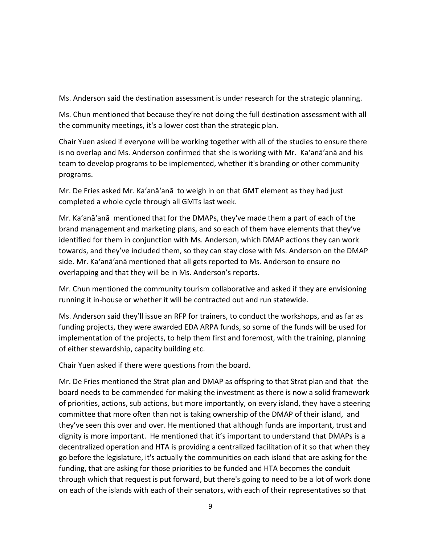Ms. Anderson said the destination assessment is under research for the strategic planning.

Ms. Chun mentioned that because they're not doing the full destination assessment with all the community meetings, it's a lower cost than the strategic plan.

Chair Yuen asked if everyone will be working together with all of the studies to ensure there is no overlap and Ms. Anderson confirmed that she is working with Mr. Ka'anā'anā and his team to develop programs to be implemented, whether it's branding or other community programs.

Mr. De Fries asked Mr. Ka'anā'anā to weigh in on that GMT element as they had just completed a whole cycle through all GMTs last week.

Mr. Ka'anā'anā mentioned that for the DMAPs, they've made them a part of each of the brand management and marketing plans, and so each of them have elements that they've identified for them in conjunction with Ms. Anderson, which DMAP actions they can work towards, and they've included them, so they can stay close with Ms. Anderson on the DMAP side. Mr. Ka'anā'anā mentioned that all gets reported to Ms. Anderson to ensure no overlapping and that they will be in Ms. Anderson's reports.

Mr. Chun mentioned the community tourism collaborative and asked if they are envisioning running it in-house or whether it will be contracted out and run statewide.

Ms. Anderson said they'll issue an RFP for trainers, to conduct the workshops, and as far as funding projects, they were awarded EDA ARPA funds, so some of the funds will be used for implementation of the projects, to help them first and foremost, with the training, planning of either stewardship, capacity building etc.

Chair Yuen asked if there were questions from the board.

Mr. De Fries mentioned the Strat plan and DMAP as offspring to that Strat plan and that the board needs to be commended for making the investment as there is now a solid framework of priorities, actions, sub actions, but more importantly, on every island, they have a steering committee that more often than not is taking ownership of the DMAP of their island, and they've seen this over and over. He mentioned that although funds are important, trust and dignity is more important. He mentioned that it's important to understand that DMAPs is a decentralized operation and HTA is providing a centralized facilitation of it so that when they go before the legislature, it's actually the communities on each island that are asking for the funding, that are asking for those priorities to be funded and HTA becomes the conduit through which that request is put forward, but there's going to need to be a lot of work done on each of the islands with each of their senators, with each of their representatives so that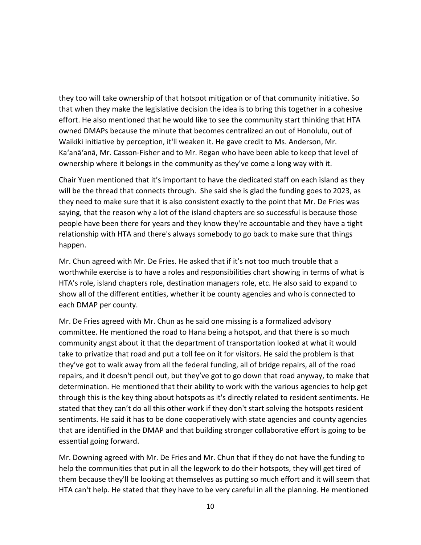they too will take ownership of that hotspot mitigation or of that community initiative. So that when they make the legislative decision the idea is to bring this together in a cohesive effort. He also mentioned that he would like to see the community start thinking that HTA owned DMAPs because the minute that becomes centralized an out of Honolulu, out of Waikiki initiative by perception, it'll weaken it. He gave credit to Ms. Anderson, Mr. Ka'anā'anā, Mr. Casson-Fisher and to Mr. Regan who have been able to keep that level of ownership where it belongs in the community as they've come a long way with it.

Chair Yuen mentioned that it's important to have the dedicated staff on each island as they will be the thread that connects through. She said she is glad the funding goes to 2023, as they need to make sure that it is also consistent exactly to the point that Mr. De Fries was saying, that the reason why a lot of the island chapters are so successful is because those people have been there for years and they know they're accountable and they have a tight relationship with HTA and there's always somebody to go back to make sure that things happen.

Mr. Chun agreed with Mr. De Fries. He asked that if it's not too much trouble that a worthwhile exercise is to have a roles and responsibilities chart showing in terms of what is HTA's role, island chapters role, destination managers role, etc. He also said to expand to show all of the different entities, whether it be county agencies and who is connected to each DMAP per county.

Mr. De Fries agreed with Mr. Chun as he said one missing is a formalized advisory committee. He mentioned the road to Hana being a hotspot, and that there is so much community angst about it that the department of transportation looked at what it would take to privatize that road and put a toll fee on it for visitors. He said the problem is that they've got to walk away from all the federal funding, all of bridge repairs, all of the road repairs, and it doesn't pencil out, but they've got to go down that road anyway, to make that determination. He mentioned that their ability to work with the various agencies to help get through this is the key thing about hotspots as it's directly related to resident sentiments. He stated that they can't do all this other work if they don't start solving the hotspots resident sentiments. He said it has to be done cooperatively with state agencies and county agencies that are identified in the DMAP and that building stronger collaborative effort is going to be essential going forward.

Mr. Downing agreed with Mr. De Fries and Mr. Chun that if they do not have the funding to help the communities that put in all the legwork to do their hotspots, they will get tired of them because they'll be looking at themselves as putting so much effort and it will seem that HTA can't help. He stated that they have to be very careful in all the planning. He mentioned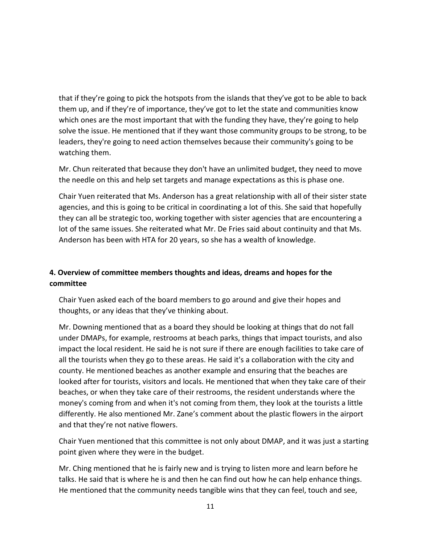that if they're going to pick the hotspots from the islands that they've got to be able to back them up, and if they're of importance, they've got to let the state and communities know which ones are the most important that with the funding they have, they're going to help solve the issue. He mentioned that if they want those community groups to be strong, to be leaders, they're going to need action themselves because their community's going to be watching them.

Mr. Chun reiterated that because they don't have an unlimited budget, they need to move the needle on this and help set targets and manage expectations as this is phase one.

Chair Yuen reiterated that Ms. Anderson has a great relationship with all of their sister state agencies, and this is going to be critical in coordinating a lot of this. She said that hopefully they can all be strategic too, working together with sister agencies that are encountering a lot of the same issues. She reiterated what Mr. De Fries said about continuity and that Ms. Anderson has been with HTA for 20 years, so she has a wealth of knowledge.

# **4. Overview of committee members thoughts and ideas, dreams and hopes for the committee**

Chair Yuen asked each of the board members to go around and give their hopes and thoughts, or any ideas that they've thinking about.

Mr. Downing mentioned that as a board they should be looking at things that do not fall under DMAPs, for example, restrooms at beach parks, things that impact tourists, and also impact the local resident. He said he is not sure if there are enough facilities to take care of all the tourists when they go to these areas. He said it's a collaboration with the city and county. He mentioned beaches as another example and ensuring that the beaches are looked after for tourists, visitors and locals. He mentioned that when they take care of their beaches, or when they take care of their restrooms, the resident understands where the money's coming from and when it's not coming from them, they look at the tourists a little differently. He also mentioned Mr. Zane's comment about the plastic flowers in the airport and that they're not native flowers.

Chair Yuen mentioned that this committee is not only about DMAP, and it was just a starting point given where they were in the budget.

Mr. Ching mentioned that he is fairly new and is trying to listen more and learn before he talks. He said that is where he is and then he can find out how he can help enhance things. He mentioned that the community needs tangible wins that they can feel, touch and see,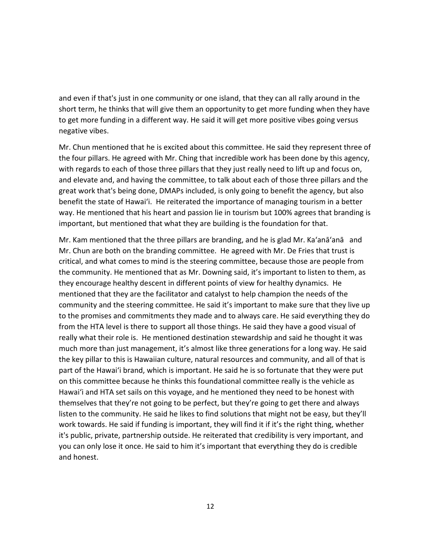and even if that's just in one community or one island, that they can all rally around in the short term, he thinks that will give them an opportunity to get more funding when they have to get more funding in a different way. He said it will get more positive vibes going versus negative vibes.

Mr. Chun mentioned that he is excited about this committee. He said they represent three of the four pillars. He agreed with Mr. Ching that incredible work has been done by this agency, with regards to each of those three pillars that they just really need to lift up and focus on, and elevate and, and having the committee, to talk about each of those three pillars and the great work that's being done, DMAPs included, is only going to benefit the agency, but also benefit the state of Hawai'i. He reiterated the importance of managing tourism in a better way. He mentioned that his heart and passion lie in tourism but 100% agrees that branding is important, but mentioned that what they are building is the foundation for that.

Mr. Kam mentioned that the three pillars are branding, and he is glad Mr. Ka'anā'anā and Mr. Chun are both on the branding committee. He agreed with Mr. De Fries that trust is critical, and what comes to mind is the steering committee, because those are people from the community. He mentioned that as Mr. Downing said, it's important to listen to them, as they encourage healthy descent in different points of view for healthy dynamics. He mentioned that they are the facilitator and catalyst to help champion the needs of the community and the steering committee. He said it's important to make sure that they live up to the promises and commitments they made and to always care. He said everything they do from the HTA level is there to support all those things. He said they have a good visual of really what their role is. He mentioned destination stewardship and said he thought it was much more than just management, it's almost like three generations for a long way. He said the key pillar to this is Hawaiian culture, natural resources and community, and all of that is part of the Hawai'i brand, which is important. He said he is so fortunate that they were put on this committee because he thinks this foundational committee really is the vehicle as Hawai'i and HTA set sails on this voyage, and he mentioned they need to be honest with themselves that they're not going to be perfect, but they're going to get there and always listen to the community. He said he likes to find solutions that might not be easy, but they'll work towards. He said if funding is important, they will find it if it's the right thing, whether it's public, private, partnership outside. He reiterated that credibility is very important, and you can only lose it once. He said to him it's important that everything they do is credible and honest.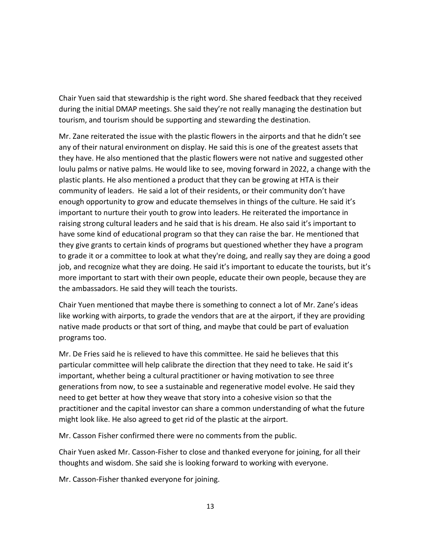Chair Yuen said that stewardship is the right word. She shared feedback that they received during the initial DMAP meetings. She said they're not really managing the destination but tourism, and tourism should be supporting and stewarding the destination.

Mr. Zane reiterated the issue with the plastic flowers in the airports and that he didn't see any of their natural environment on display. He said this is one of the greatest assets that they have. He also mentioned that the plastic flowers were not native and suggested other loulu palms or native palms. He would like to see, moving forward in 2022, a change with the plastic plants. He also mentioned a product that they can be growing at HTA is their community of leaders. He said a lot of their residents, or their community don't have enough opportunity to grow and educate themselves in things of the culture. He said it's important to nurture their youth to grow into leaders. He reiterated the importance in raising strong cultural leaders and he said that is his dream. He also said it's important to have some kind of educational program so that they can raise the bar. He mentioned that they give grants to certain kinds of programs but questioned whether they have a program to grade it or a committee to look at what they're doing, and really say they are doing a good job, and recognize what they are doing. He said it's important to educate the tourists, but it's more important to start with their own people, educate their own people, because they are the ambassadors. He said they will teach the tourists.

Chair Yuen mentioned that maybe there is something to connect a lot of Mr. Zane's ideas like working with airports, to grade the vendors that are at the airport, if they are providing native made products or that sort of thing, and maybe that could be part of evaluation programs too.

Mr. De Fries said he is relieved to have this committee. He said he believes that this particular committee will help calibrate the direction that they need to take. He said it's important, whether being a cultural practitioner or having motivation to see three generations from now, to see a sustainable and regenerative model evolve. He said they need to get better at how they weave that story into a cohesive vision so that the practitioner and the capital investor can share a common understanding of what the future might look like. He also agreed to get rid of the plastic at the airport.

Mr. Casson Fisher confirmed there were no comments from the public.

Chair Yuen asked Mr. Casson-Fisher to close and thanked everyone for joining, for all their thoughts and wisdom. She said she is looking forward to working with everyone.

Mr. Casson-Fisher thanked everyone for joining.